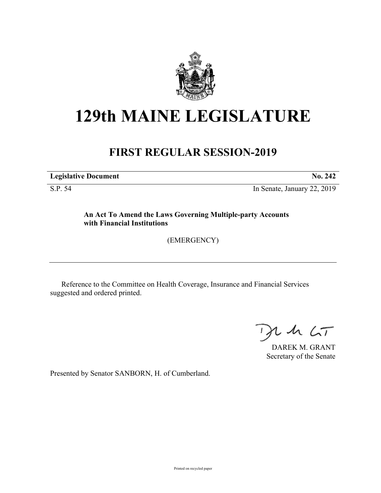

## **129th MAINE LEGISLATURE**

## **FIRST REGULAR SESSION-2019**

**Legislative Document No. 242**

S.P. 54 In Senate, January 22, 2019

**An Act To Amend the Laws Governing Multiple-party Accounts with Financial Institutions**

(EMERGENCY)

Reference to the Committee on Health Coverage, Insurance and Financial Services suggested and ordered printed.

 $425$ 

DAREK M. GRANT Secretary of the Senate

Presented by Senator SANBORN, H. of Cumberland.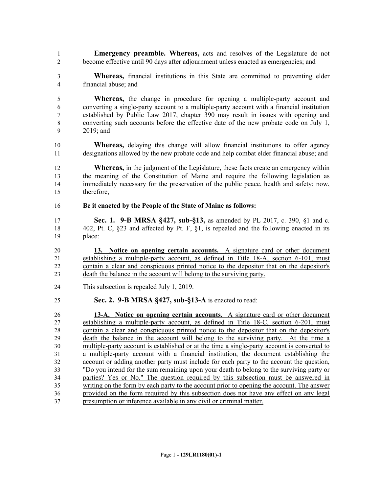- **Emergency preamble. Whereas,** acts and resolves of the Legislature do not become effective until 90 days after adjournment unless enacted as emergencies; and
- **Whereas,** financial institutions in this State are committed to preventing elder financial abuse; and

 **Whereas,** the change in procedure for opening a multiple-party account and converting a single-party account to a multiple-party account with a financial institution established by Public Law 2017, chapter 390 may result in issues with opening and converting such accounts before the effective date of the new probate code on July 1, 2019; and

- **Whereas,** delaying this change will allow financial institutions to offer agency designations allowed by the new probate code and help combat elder financial abuse; and
- **Whereas,** in the judgment of the Legislature, these facts create an emergency within the meaning of the Constitution of Maine and require the following legislation as immediately necessary for the preservation of the public peace, health and safety; now, therefore,
- **Be it enacted by the People of the State of Maine as follows:**
- **Sec. 1. 9-B MRSA §427, sub-§13,** as amended by PL 2017, c. 390, §1 and c. 402, Pt. C, §23 and affected by Pt. F, §1, is repealed and the following enacted in its place:

 **13. Notice on opening certain accounts.** A signature card or other document establishing a multiple-party account, as defined in Title 18-A, section 6-101, must contain a clear and conspicuous printed notice to the depositor that on the depositor's death the balance in the account will belong to the surviving party.

- This subsection is repealed July 1, 2019.
- **Sec. 2. 9-B MRSA §427, sub-§13-A** is enacted to read:

 **13-A. Notice on opening certain accounts.** A signature card or other document establishing a multiple-party account, as defined in Title 18-C, section 6-201, must contain a clear and conspicuous printed notice to the depositor that on the depositor's death the balance in the account will belong to the surviving party. At the time a multiple-party account is established or at the time a single-party account is converted to a multiple-party account with a financial institution, the document establishing the account or adding another party must include for each party to the account the question, "Do you intend for the sum remaining upon your death to belong to the surviving party or parties? Yes or No." The question required by this subsection must be answered in writing on the form by each party to the account prior to opening the account. The answer provided on the form required by this subsection does not have any effect on any legal presumption or inference available in any civil or criminal matter.